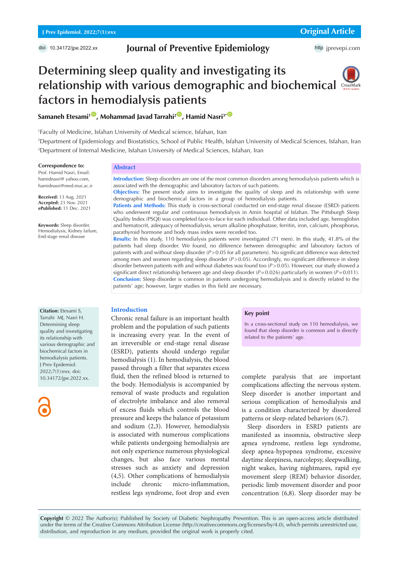doi 10.34172/jpe.2022.xx

## **Journal of Preventive Epidemiology**

# **Determining sleep quality and investigating its relationship with various demographic and biochemical factors in hemodialysis patients**

**Samaneh Etesami<sup>1</sub><sup>®</sup>, Mohammad Javad Tarrahi<sup>2<sup>®</sup>, Hamid Nasri<sup>3\*</sub><sup>®</sup>**</sup></sup></sup>

1 Faculty of Medicine, Isfahan University of Medical science, Isfahan, Iran

2 Department of Epidemiology and Biostatistics, School of Public Health, Isfahan University of Medical Sciences, Isfahan, Iran 3 Department of Internal Medicine, Isfahan University of Medical Sciences, Isfahan, Iran

#### **Correspondence to:**

Prof. Hamid Nasri, Email: hamidnasri@ yahoo.com, hamidnasri@med.mui.ac.ir

**Received:** 13 Aug. 2021 **Accepted:** 23 Nov. 2021 **ePublished:** 11 Dec. 2021

**Keywords:** Sleep disorder, Hemodialysis, Kidney failure, End-stage renal disease

#### **Abstract**

**Introduction:** Sleep disorders are one of the most common disorders among hemodialysis patients which is associated with the demographic and laboratory factors of such patients. **Objectives:** The present study aims to investigate the quality of sleep and its relationship with some

demographic and biochemical factors in a group of hemodialysis patients. Patients and Methods: This study is cross-sectional conducted on end-stage renal disease (ESRD) patients who underwent regular and continuous hemodialysis in Amin hospital of Isfahan. The Pittsburgh Sleep Quality Index (PSQI) was completed face-to-face for each individual. Other data included age, hemoglobin and hematocrit, adequacy of hemodialysis, serum alkaline phosphatase, ferritin, iron, calcium, phosphorus, parathyroid hormone and body mass index were receded too.

**Results:** In this study, 110 hemodialysis patients were investigated (71 men). In this study, 41.8% of the patients had sleep disorder. We found, no difference between demographic and laboratory factors of patients with and without sleep disorder (*P*>0.05 for all parameters). No significant difference was detected among men and women regarding sleep disorder (*P*>0.05). Accordingly, no significant difference in sleep disorder between patients with and without diabetes was found too (*P*>0.05). However, our study showed a significant direct relationship between age and sleep disorder (*P*=0.026) particularly in women (*P*=0.011). **Conclusion:** Sleep disorder is common in patients undergoing hemodialysis and is directly related to the patients' age; however, larger studies in this field are necessary.

#### **Introduction**

Chronic renal failure is an important health problem and the population of such patients is increasing every year. In the event of an irreversible or end-stage renal disease (ESRD), patients should undergo regular hemodialysis (1). In hemodialysis, the blood passed through a filter that separates excess fluid, then the refined blood is returned to the body. Hemodialysis is accompanied by removal of waste products and regulation of electrolyte imbalance and also removal of excess fluids which controls the blood pressure and keeps the balance of potassium and sodium (2,3). However, hemodialysis is associated with numerous complications while patients undergoing hemodialysis are not only experience numerous physiological changes, but also face various mental stresses such as anxiety and depression (4,5). Other complications of hemodialysis include chronic micro-inflammation, restless legs syndrome, foot drop and even

#### **Key point**

In a cross-sectional study on 110 hemodialysis, we found that sleep disorder is common and is directly related to the patients' age.

complete paralysis that are important complications affecting the nervous system. Sleep disorder is another important and serious complication of hemodialysis and is a condition characterized by disordered patterns or sleep-related behaviors (6,7).

Sleep disorders in ESRD patients are manifested as insomnia, obstructive sleep apnea syndrome, restless legs syndrome, sleep apnea-hypopnea syndrome, excessive daytime sleepiness, narcolepsy, sleepwalking, night wakes, having nightmares, rapid eye movement sleep (REM) behavior disorder, periodic limb movement disorder and poor concentration (6,8). Sleep disorder may be

**Copyright** © 2022 The Author(s); Published by Society of Diabetic Nephropathy Prevention. This is an open-access article distributed under the terms of the Creative Commons Attribution License (http://creativecommons.org/licenses/by/4.0), which permits unrestricted use, distribution, and reproduction in any medium, provided the original work is properly cited.

**Citation:** Etesami S, Tarrahi MJ, Nasri H. Determining sleep quality and investigating its relationship with various demographic and biochemical factors in hemodialysis patients. J Prev Epidemiol. 2022;7(1):exx. doi: 10.34172/jpe.2022.xx.

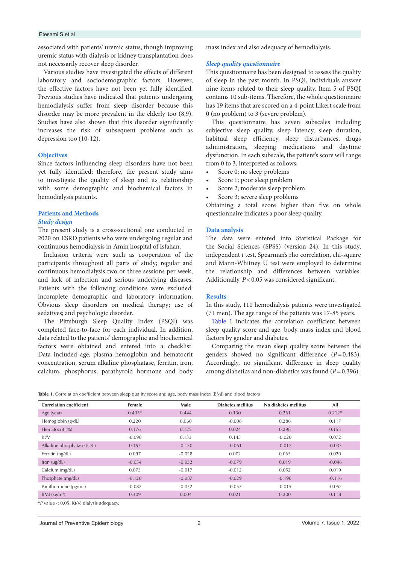#### Etesami S et al

associated with patients' uremic status, though improving uremic status with dialysis or kidney transplantation does not necessarily recover sleep disorder.

Various studies have investigated the effects of different laboratory and sociodemographic factors. However, the effective factors have not been yet fully identified. Previous studies have indicated that patients undergoing hemodialysis suffer from sleep disorder because this disorder may be more prevalent in the elderly too (8,9). Studies have also shown that this disorder significantly increases the risk of subsequent problems such as depression too (10-12).

#### **Objectives**

Since factors influencing sleep disorders have not been yet fully identified; therefore, the present study aims to investigate the quality of sleep and its relationship with some demographic and biochemical factors in hemodialysis patients.

#### **Patients and Methods**

#### *Study design*

The present study is a cross-sectional one conducted in 2020 on ESRD patients who were undergoing regular and continuous hemodialysis in Amin hospital of Isfahan.

Inclusion criteria were such as cooperation of the participants throughout all parts of study; regular and continuous hemodialysis two or three sessions per week; and lack of infection and serious underlying diseases. Patients with the following conditions were excluded: incomplete demographic and laboratory information; Obvious sleep disorders on medical therapy; use of sedatives; and psychologic disorder.

The Pittsburgh Sleep Quality Index (PSQI) was completed face-to-face for each individual. In addition, data related to the patients' demographic and biochemical factors were obtained and entered into a checklist. Data included age, plasma hemoglobin and hematocrit concentration, serum alkaline phosphatase, ferritin, iron, calcium, phosphorus, parathyroid hormone and body mass index and also adequacy of hemodialysis.

#### *Sleep quality questionnaire*

This questionnaire has been designed to assess the quality of sleep in the past month. In PSQI, individuals answer nine items related to their sleep quality. Item 5 of PSQI contains 10 sub-items. Therefore, the whole questionnaire has 19 items that are scored on a 4-point Likert scale from 0 (no problem) to 3 (severe problem).

This questionnaire has seven subscales including subjective sleep quality, sleep latency, sleep duration, habitual sleep efficiency, sleep disturbances, drugs administration, sleeping medications and daytime dysfunction. In each subscale, the patient's score will range from 0 to 3, interpreted as follows:

- Score 0; no sleep problems
- Score 1; poor sleep problem
- Score 2; moderate sleep problem
- Score 3; severe sleep problems

Obtaining a total score higher than five on whole questionnaire indicates a poor sleep quality.

### **Data analysis**

The data were entered into Statistical Package for the Social Sciences (SPSS) (version 24). In this study, independent *t* test, Spearman's rho correlation, chi-square and Mann-Whitney U test were employed to determine the relationship and differences between variables. Additionally, *P*<0.05 was considered significant.

#### **Results**

In this study, 110 hemodialysis patients were investigated (71 men). The age range of the patients was 17-85 years.

[Table 1](#page-1-0) indicates the correlation coefficient between sleep quality score and age, body mass index and blood factors by gender and diabetes.

Comparing the mean sleep quality score between the genders showed no significant difference (*P*=0.483). Accordingly, no significant difference in sleep quality among diabetics and non-diabetics was found (*P*=0.396).

<span id="page-1-0"></span>**Table 1.** Correlation coefficient between sleep quality score and age, body mass index (BMI) and blood factors

| <b>Correlation coefficient</b> | Female   | Male     | Diabetes mellitus | No diabetes mellitus | All      |
|--------------------------------|----------|----------|-------------------|----------------------|----------|
| Age (year)                     | $0.405*$ | 0.444    | 0.130             | 0.261                | $0.212*$ |
| Hemoglobin (g/dL)              | 0.220    | 0.060    | $-0.008$          | 0.286                | 0.117    |
| Hematocrit (%)                 | 0.176    | 0.125    | 0.024             | 0.298                | 0.153    |
| Kt/V                           | $-0.090$ | 0.133    | 0.145             | $-0.020$             | 0.072    |
| Alkaline phosphatase (U/L)     | 0.157    | $-0.150$ | $-0.061$          | $-0.017$             | $-0.033$ |
| Ferritin (ng/dL)               | 0.097    | $-0.028$ | 0.002             | 0.065                | 0.020    |
| Iron $(\mu g/dL)$              | $-0.054$ | $-0.032$ | $-0.079$          | 0.019                | $-0.046$ |
| Calcium (mg/dL)                | 0.073    | $-0.017$ | $-0.012$          | 0.052                | 0.019    |
| Phosphate (mg/dL)              | $-0.120$ | $-0.087$ | $-0.029$          | $-0.198$             | $-0.116$ |
| Parathormone (pg/mL)           | $-0.087$ | $-0.032$ | $-0.057$          | $-0.015$             | $-0.052$ |
| $BMl$ (kg/m <sup>2</sup> )     | 0.309    | 0.004    | 0.021             | 0.200                | 0.118    |

\**P* value < 0.05, Kt/V; dialysis adequacy.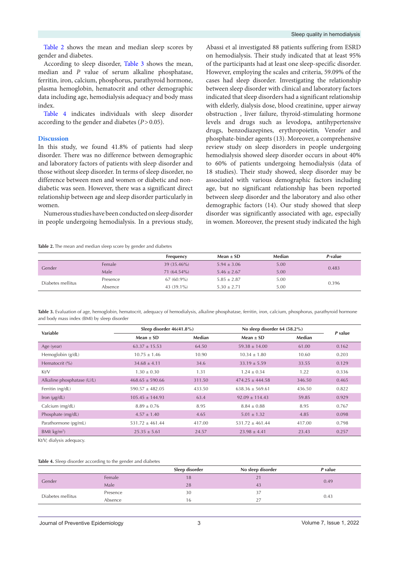[Table 2](#page-2-0) shows the mean and median sleep scores by gender and diabetes.

According to sleep disorder, [Table 3](#page-2-1) shows the mean, median and *P* value of serum alkaline phosphatase, ferritin, iron, calcium, phosphorus, parathyroid hormone, plasma hemoglobin, hematocrit and other demographic data including age, hemodialysis adequacy and body mass index.

[Table 4](#page-2-2) indicates individuals with sleep disorder according to the gender and diabetes (*P*>0.05).

#### **Discussion**

In this study, we found 41.8% of patients had sleep disorder. There was no difference between demographic and laboratory factors of patients with sleep disorder and those without sleep disorder. In terms of sleep disorder, no difference between men and women or diabetic and nondiabetic was seen. However, there was a significant direct relationship between age and sleep disorder particularly in women.

Numerous studies have been conducted on sleep disorder in people undergoing hemodialysis. In a previous study,

<span id="page-2-0"></span>**Table 2.** The mean and median sleep score by gender and diabetes

Abassi et al investigated 88 patients suffering from ESRD on hemodialysis. Their study indicated that at least 95% of the participants had at least one sleep-specific disorder. However, employing the scales and criteria, 59.09% of the cases had sleep disorder. Investigating the relationship between sleep disorder with clinical and laboratory factors indicated that sleep disorders had a significant relationship with elderly, dialysis dose, blood creatinine, upper airway obstruction , liver failure, thyroid-stimulating hormone levels and drugs such as levodopa, antihypertensive drugs, benzodiazepines, erythropoietin*,* Venofer and phosphate-binder agents (13). Moreover, a comprehensive review study on sleep disorders in people undergoing hemodialysis showed sleep disorder occurs in about 40% to 60% of patients undergoing hemodialysis (data of 18 studies). Their study showed, sleep disorder may be associated with various demographic factors including age, but no significant relationship has been reported between sleep disorder and the laboratory and also other demographic factors (14). Our study showed that sleep disorder was significantly associated with age, especially in women. Moreover, the present study indicated the high

|                   |          | Frequency     | Mean $\pm$ SD   | Median | P-value |
|-------------------|----------|---------------|-----------------|--------|---------|
| Gender            | Female   | $39(35.46\%)$ | $5.94 \pm 3.06$ | 5.00   | 0.483   |
|                   | Male     | $71(64.54\%)$ | $5.46 \pm 2.67$ | 5.00   |         |
| Diabetes mellitus | Presence | $67(60.9\%)$  | $5.85 \pm 2.87$ | 5.00   | 0.396   |
|                   | Absence  | 43 (39.1%)    | $5.30 \pm 2.71$ | 5.00   |         |

<span id="page-2-1"></span>**Table 3.** Evaluation of age, hemoglobin, hematocrit, adequacy of hemodialysis, alkaline phosphatase, ferritin, iron, calcium, phosphorus, parathyroid hormone and body mass index (BMI) by sleep disorder

| Variable                   | Sleep disorder $46(41.8\%)$ |        | No sleep disorder 64 (58.2%) |        | P value |
|----------------------------|-----------------------------|--------|------------------------------|--------|---------|
|                            | Mean $\pm$ SD               | Median | $Mean \pm SD$                | Median |         |
| Age (year)                 | $63.37 \pm 15.53$           | 64.50  | $59.38 \pm 14.00$            | 61.00  | 0.162   |
| Hemoglobin (g/dL)          | $10.75 \pm 1.46$            | 10.90  | $10.34 \pm 1.80$             | 10.60  | 0.203   |
| Hematocrit (%)             | $34.68 \pm 4.11$            | 34.6   | $33.19 \pm 5.59$             | 33.55  | 0.129   |
| Kt/V                       | $1.30 \pm 0.30$             | 1.31   | $1.24 + 0.34$                | 1.22   | 0.336   |
| Alkaline phosphatase (U/L) | $468.65 + 590.66$           | 311.50 | $474.25 + 444.58$            | 346.50 | 0.465   |
| Ferritin (ng/dL)           | $590.57 \pm 482.05$         | 433.50 | $638.36 + 569.61$            | 436.50 | 0.822   |
| lron (µg/dL)               | $105.45 \pm 144.93$         | 63.4   | $92.09 \pm 114.43$           | 59.85  | 0.929   |
| Calcium (mg/dL)            | $8.89 \pm 0.76$             | 8.95   | $8.84 \pm 0.88$              | 8.95   | 0.767   |
| Phosphate (mg/dL)          | $4.57 \pm 1.40$             | 4.65   | $5.01 \pm 1.32$              | 4.85   | 0.098   |
| Parathormone (pg/mL)       | $531.72 + 461.44$           | 417.00 | $531.72 + 461.44$            | 417.00 | 0.798   |
| BMI(kg/m <sup>2</sup> )    | $25.35 \pm 5.61$            | 24.57  | $23.98 \pm 4.41$             | 23.43  | 0.257   |

Kt/V; dialysis adequacy.

#### <span id="page-2-2"></span>**Table 4.** Sleep disorder according to the gender and diabetes

|                   |          | Sleep disorder | No sleep disorder | P value |
|-------------------|----------|----------------|-------------------|---------|
| Gender            | Female   | 18             |                   | 0.49    |
|                   | Male     | 28             | 43                |         |
| Diabetes mellitus | Presence | 30             |                   |         |
|                   | Absence  | h              |                   | 0.43    |
|                   |          |                |                   |         |

Journal of Preventive Epidemiology 3 Volume 7, Issue 1, 2022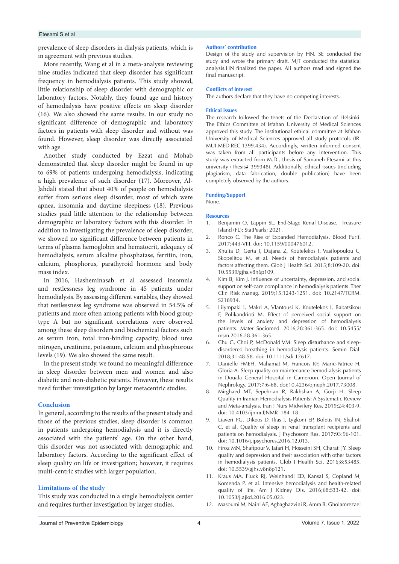#### Etesami S et al

prevalence of sleep disorders in dialysis patients, which is in agreement with previous studies.

More recently, Wang et al in a meta-analysis reviewing nine studies indicated that sleep disorder has significant frequency in hemodialysis patients. This study showed, little relationship of sleep disorder with demographic or laboratory factors. Notably, they found age and history of hemodialysis have positive effects on sleep disorder (16). We also showed the same results. In our study no significant difference of demographic and laboratory factors in patients with sleep disorder and without was found. However, sleep disorder was directly associated with age.

Another study conducted by Ezzat and Mohab demonstrated that sleep disorder might be found in up to 69% of patients undergoing hemodialysis, indicating a high prevalence of such disorder (17). Moreover, Al-Jahdali stated that about 40% of people on hemodialysis suffer from serious sleep disorder, most of which were apnea, insomnia and daytime sleepiness (18). Previous studies paid little attention to the relationship between demographic or laboratory factors with this disorder. In addition to investigating the prevalence of sleep disorder, we showed no significant difference between patients in terms of plasma hemoglobin and hematocrit, adequacy of hemodialysis, serum alkaline phosphatase, ferritin, iron, calcium, phosphorus, parathyroid hormone and body mass index.

In 2016, Hasheminasab et al assessed insomnia and restlessness leg syndrome in 45 patients under hemodialysis. By assessing different variables, they showed that restlessness leg syndrome was observed in 54.5% of patients and more often among patients with blood group type A but no significant correlations were observed among these sleep disorders and biochemical factors such as serum iron, total iron-binding capacity, blood urea nitrogen, creatinine, potassium, calcium and phosphorous levels (19). We also showed the same result.

In the present study, we found no meaningful difference in sleep disorder between men and women and also diabetic and non-diabetic patients. However, these results need further investigation by larger metacentric studies.

#### **Conclusion**

In general, according to the results of the present study and those of the previous studies, sleep disorder is common in patients undergoing hemodialysis and it is directly associated with the patients' age. On the other hand, this disorder was not associated with demographic and laboratory factors. According to the significant effect of sleep quality on life or investigation; however, it requires multi-centric studies with larger population.

#### **Limitations of the study**

This study was conducted in a single hemodialysis center and requires further investigation by larger studies.

#### **Authors' contribution**

Design of the study and supervision by HN. SE conducted the study and wrote the primary draft. MJT conducted the statistical analysis.HN finalized the paper. All authors read and signed the final manuscript.

#### **Conflicts of interest**

The authors declare that they have no competing interests.

#### **Ethical issues**

The research followed the tenets of the Declaration of Helsinki. The Ethics Committee of Isfahan University of Medical Sciences approved this study. The institutional ethical committee at Isfahan University of Medical Sciences approved all study protocols (IR. MUI.MED.REC.1399.434). Accordingly, written informed consent was taken from all participants before any intervention. This study was extracted from M.D., thesis of Samaneh Etesami at this university (Thesis# 399348). Additionally, ethical issues (including plagiarism, data fabrication, double publication) have been completely observed by the authors.

#### **Funding/Support**

None.

#### **Resources**

- 1. Benjamin O, Lappin SL. End-Stage Renal Disease. Treasure Island (FL): StatPearls; 2021.
- 2. Ronco C. The Rise of Expanded Hemodialysis. Blood Purif. 2017;44:I-VIII. doi: 10.1159/000476012.
- 3. Xhulia D, Gerta J, Dajana Z, Koutelekos I, Vasilopoulou C, Skopelitou M, et al. Needs of hemodialysis patients and factors affecting them. Glob J Health Sci. 2015;8:109-20. doi: 10.5539/gjhs.v8n6p109.
- 4. Kim B, Kim J. Influence of uncertainty, depression, and social support on self-care compliance in hemodialysis patients. Ther Clin Risk Manag. 2019;15:1243-1251. doi: 10.2147/TCRM. S218934.
- 5. Lilympaki I, Makri A, Vlantousi K, Koutelekos I, Babatsikou F, Polikandrioti M. Effect of perceived social support on the levels of anxiety and depression of hemodialysis patients. Mater Sociomed. 2016;28:361-365. doi: 10.5455/ msm.2016.28.361-365.
- 6. Chu G, Choi P, McDonald VM. Sleep disturbance and sleepdisordered breathing in hemodialysis patients. Semin Dial. 2018;31:48-58. doi: 10.1111/sdi.12617.
- 7. Danielle FMEH, Mahamat M, Francois KF, Marie-Patrice H, Gloria A. Sleep quality on maintenance hemodialysis patients in Douala General Hospital in Cameroon. Open Journal of Nephrology. 2017;7:6-68. doi:10.4236/ojneph.2017.73008.
- 8. Mirghaed MT, Sepehrian R, Rakhshan A, Gorji H. Sleep Quality in Iranian Hemodialysis Patients: A Systematic Review and Meta-analysis. Iran J Nurs Midwifery Res. 2019;24:403-9. doi: 10.4103/ijnmr.IJNMR\_184\_18.
- 9. Liaveri PG, Dikeos D, Ilias I, Lygkoni EP, Boletis IN, Skalioti C, et al. Quality of sleep in renal transplant recipients and patients on hemodialysis. J Psychosom Res. 2017;93:96-101. doi: 10.1016/j.jpsychores.2016.12.013.
- 10. Firoz MN, Shafipour V, Jafari H, Hosseini SH, Charati JY. Sleep quality and depression and their association with other factors in hemodialysis patients. Glob J Health Sci. 2016;8:53485. doi: 10.5539/gjhs.v8n8p121.
- 11. Kraus MA, Fluck RJ, Weinhandl ED, Kansal S, Copland M, Komenda P, et al. Intensive hemodialysis and health-related quality of life. Am J Kidney Dis. 2016;68:S33-42. doi: 10.1053/j.ajkd.2016.05.023.
- 12. Masoumi M, Naini AE, Aghaghazvini R, Amra B, Gholamrezaei